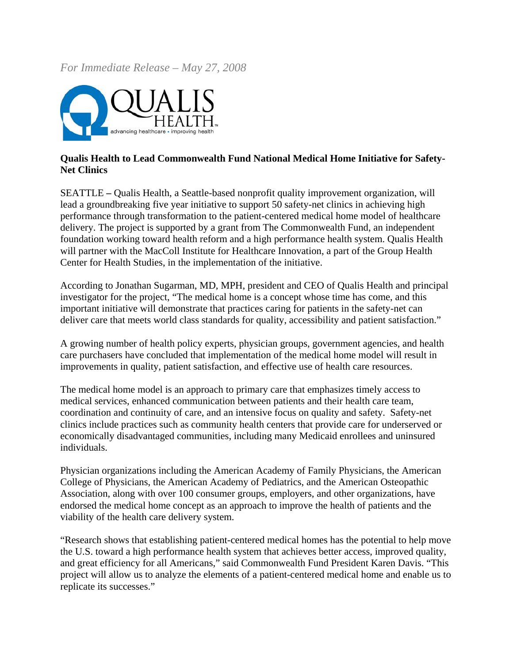*For Immediate Release – May 27, 2008* 



## **Qualis Health to Lead Commonwealth Fund National Medical Home Initiative for Safety-Net Clinics**

SEATTLE **–** Qualis Health, a Seattle-based nonprofit quality improvement organization, will lead a groundbreaking five year initiative to support 50 safety-net clinics in achieving high performance through transformation to the patient-centered medical home model of healthcare delivery. The project is supported by a grant from The Commonwealth Fund, an independent foundation working toward health reform and a high performance health system. Qualis Health will partner with the MacColl Institute for Healthcare Innovation, a part of the Group Health Center for Health Studies, in the implementation of the initiative.

According to Jonathan Sugarman, MD, MPH, president and CEO of Qualis Health and principal investigator for the project, "The medical home is a concept whose time has come, and this important initiative will demonstrate that practices caring for patients in the safety-net can deliver care that meets world class standards for quality, accessibility and patient satisfaction."

A growing number of health policy experts, physician groups, government agencies, and health care purchasers have concluded that implementation of the medical home model will result in improvements in quality, patient satisfaction, and effective use of health care resources.

The medical home model is an approach to primary care that emphasizes timely access to medical services, enhanced communication between patients and their health care team, coordination and continuity of care, and an intensive focus on quality and safety. Safety-net clinics include practices such as community health centers that provide care for underserved or economically disadvantaged communities, including many Medicaid enrollees and uninsured individuals.

Physician organizations including the American Academy of Family Physicians, the American College of Physicians, the American Academy of Pediatrics, and the American Osteopathic Association, along with over 100 consumer groups, employers, and other organizations, have endorsed the medical home concept as an approach to improve the health of patients and the viability of the health care delivery system.

"Research shows that establishing patient-centered medical homes has the potential to help move the U.S. toward a high performance health system that achieves better access, improved quality, and great efficiency for all Americans," said Commonwealth Fund President Karen Davis. "This project will allow us to analyze the elements of a patient-centered medical home and enable us to replicate its successes."